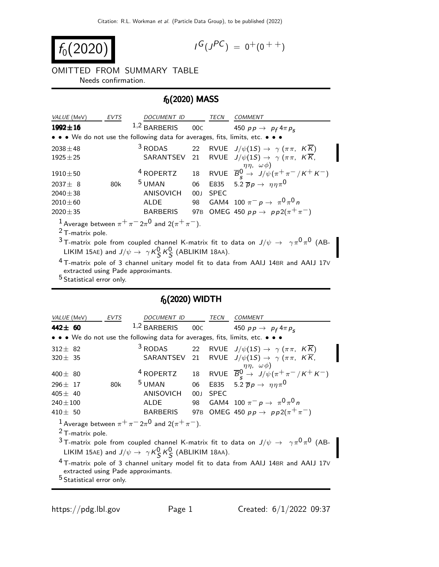$$
f_0(2020)
$$

$$
I^G(J^{PC}) = 0^+(0^{++})
$$

OMITTED FROM SUMMARY TABLE Needs confirmation.

## $f_0(2020)$  MASS

| VALUE (MeV)                                                                   | <b>EVTS</b> | <b>DOCUMENT ID</b>   |                 | TECN        | <b>COMMENT</b>                                                               |  |
|-------------------------------------------------------------------------------|-------------|----------------------|-----------------|-------------|------------------------------------------------------------------------------|--|
| $1992 \pm 16$                                                                 |             | $1,2$ BARBERIS       | 00C             |             | 450 $pp \rightarrow p_f 4 \pi p_s$                                           |  |
| • • • We do not use the following data for averages, fits, limits, etc. • • • |             |                      |                 |             |                                                                              |  |
| $2038 \pm 48$                                                                 |             | $3$ RODAS            |                 |             | 22 RVUE $J/\psi(1S) \rightarrow \gamma(\pi \pi, KK)$                         |  |
| $1925 \pm 25$                                                                 |             |                      |                 |             | SARANTSEV 21 RVUE $J/\psi(1S) \rightarrow \gamma (\pi \pi, K \overline{K})$  |  |
|                                                                               |             |                      |                 |             | $\eta\eta$ , $\omega\phi$ )                                                  |  |
| $1910 \pm 50$                                                                 |             | <sup>4</sup> ROPERTZ |                 |             | 18 RVUE $\overline{B}_{s}^{0} \rightarrow J/\psi(\pi^{+}\pi^{-}/K^{+}K^{-})$ |  |
| $2037 \pm 8$                                                                  | 80k         | <sup>5</sup> UMAN    | 06              |             | E835 5.2 $\overline{p}p \rightarrow \eta \eta \pi^0$                         |  |
| $2040 \pm 38$                                                                 |             | <b>ANISOVICH</b>     | 00 <sub>1</sub> | <b>SPEC</b> |                                                                              |  |
| $2010 \pm 60$                                                                 |             | AI DE                | 98              |             | GAM4 100 $\pi^- p \to \pi^0 \pi^0 n$                                         |  |
| $2020 \pm 35$                                                                 |             | <b>BARBERIS</b>      |                 |             | 97B OMEG 450 $pp \to pp2(\pi^{+}\pi^{-})$                                    |  |
| <sup>1</sup> Average between $\pi^+\pi^-2\pi^0$ and $2(\pi^+\pi^-)$ .         |             |                      |                 |             |                                                                              |  |
| $2$ T-matrix pole.                                                            |             |                      |                 |             |                                                                              |  |

 $^3$ T-matrix pole from coupled channel K-matrix fit to data on  $J/\psi\,\rightarrow\,\,\,\gamma\pi^0\pi^0$  (AB-LIKIM 15AE) and  $J/\psi \rightarrow \gamma K_S^0 K_S^0$  (ABLIKIM 18AA).

 $^4$ T-matrix pole of 3 channel unitary model fit to data from AAIJ 14BR and AAIJ 17V extracted using Pade approximants.

5 Statistical error only.

## $f_0(2020)$  WIDTH

| VALUE (MeV)                                                                                                                         | EVTS | DOCUMENT ID          |                 | TECN        | <b>COMMENT</b>                                                                                                                         |  |
|-------------------------------------------------------------------------------------------------------------------------------------|------|----------------------|-----------------|-------------|----------------------------------------------------------------------------------------------------------------------------------------|--|
| 442± 60                                                                                                                             |      | $1,2$ BARBERIS 00C   |                 |             | 450 $pp \rightarrow p_f 4 \pi p_s$                                                                                                     |  |
| • • • We do not use the following data for averages, fits, limits, etc. • • •                                                       |      |                      |                 |             |                                                                                                                                        |  |
| $312\pm$ 82                                                                                                                         |      | $3$ RODAS            |                 |             | 22 RVUE $J/\psi(1S) \rightarrow \gamma(\pi \pi, K\overline{K})$                                                                        |  |
| $320\pm$ 35                                                                                                                         |      |                      |                 |             | SARANTSEV 21 RVUE $J/\psi(1S) \rightarrow \gamma (\pi \pi, K \overline{K})$                                                            |  |
| 400 $\pm$ 80                                                                                                                        |      | <sup>4</sup> ROPERTZ |                 |             | 18 RVUE $\overline{B}_{s}^{\eta\eta}$ , $\omega\phi$ )<br>18 RVUE $\overline{B}_{s}^{0} \rightarrow J/\psi(\pi^{+}\pi^{-}/K^{+}K^{-})$ |  |
| 296 $\pm$ 17                                                                                                                        | 80k  | <sup>5</sup> UMAN    | 06              |             | E835 5.2 $\overline{p}p \rightarrow \eta \eta \pi^0$                                                                                   |  |
| 405 $\pm$ 40                                                                                                                        |      | ANISOVICH            | 00 <sub>J</sub> | <b>SPEC</b> |                                                                                                                                        |  |
| $240\!\pm\!100$                                                                                                                     |      | <b>ALDE</b>          | 98              |             | GAM4 100 $\pi^- p \to \pi^0 \pi^0 n$                                                                                                   |  |
| 410 $\pm$ 50                                                                                                                        |      | <b>BARBERIS</b>      | 97 <sub>B</sub> |             | OMEG 450 $pp \rightarrow pp2(\pi^{+}\pi^{-})$                                                                                          |  |
| <sup>1</sup> Average between $\pi^+ \pi^- 2\pi^0$ and $2(\pi^+ \pi^-)$ .                                                            |      |                      |                 |             |                                                                                                                                        |  |
| $2$ T-matrix pole.                                                                                                                  |      |                      |                 |             |                                                                                                                                        |  |
| <sup>3</sup> T-matrix pole from coupled channel K-matrix fit to data on $J/\psi \rightarrow \gamma \pi^0 \pi^0$ (AB-                |      |                      |                 |             |                                                                                                                                        |  |
| LIKIM 15AE) and $J/\psi \rightarrow \gamma K_S^0 K_S^0$ (ABLIKIM 18AA).                                                             |      |                      |                 |             |                                                                                                                                        |  |
| <sup>4</sup> T-matrix pole of 3 channel unitary model fit to data from AAIJ 14BR and AAIJ 17V<br>extracted using Pade approximants. |      |                      |                 |             |                                                                                                                                        |  |
| <sup>5</sup> Statistical error only.                                                                                                |      |                      |                 |             |                                                                                                                                        |  |